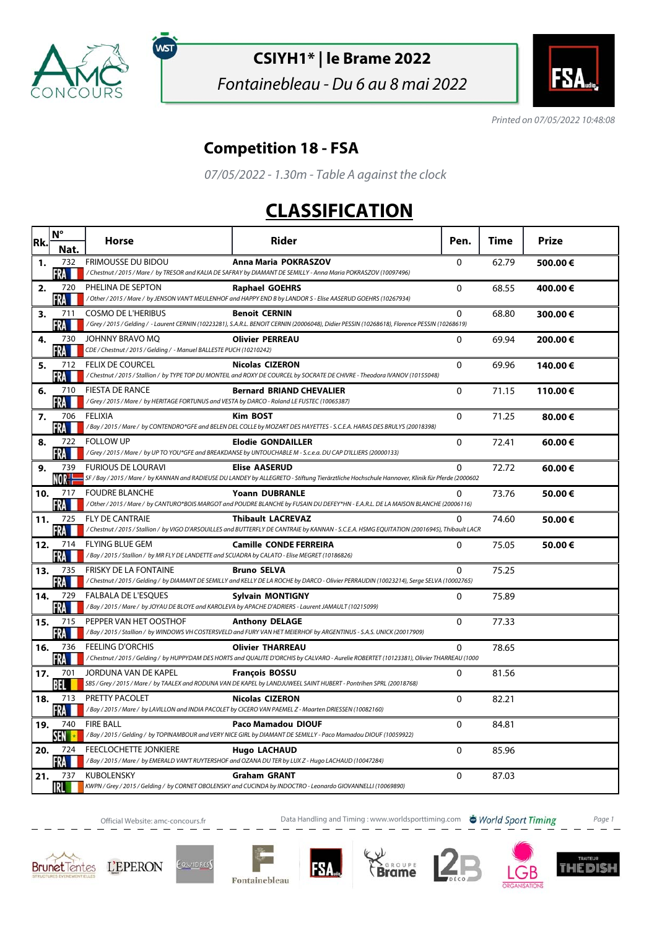

์พรา

## **CSIYH1\* | le Brame 2022**

Fontainebleau - Du 6 au 8 mai 2022



Printed on 07/05/2022 10:48:08

## **Competition 18 - FSA**

07/05/2022 - 1.30m - Table A against the clock

## **CLASSIFICATION**

| Rk. | $N^{\circ}$       | <b>Horse</b>                                                                                                             | Rider                                                                                                                                                                    | Pen.         | Time  | Prize   |
|-----|-------------------|--------------------------------------------------------------------------------------------------------------------------|--------------------------------------------------------------------------------------------------------------------------------------------------------------------------|--------------|-------|---------|
|     | Nat.              |                                                                                                                          |                                                                                                                                                                          |              |       |         |
| 1.  | 732<br>FRA        | <b>FRIMOUSSE DU BIDOU</b>                                                                                                | Anna Maria POKRASZOV<br>/Chestnut / 2015 / Mare / by TRESOR and KALIA DE SAFRAY by DIAMANT DE SEMILLY - Anna Maria POKRASZOV (10097496)                                  | $\mathbf 0$  | 62.79 | 500.00€ |
| 2.  | 720<br>FRA        | PHELINA DE SEPTON                                                                                                        | <b>Raphael GOEHRS</b><br>/Other / 2015 / Mare / by JENSON VAN'T MEULENHOF and HAPPY END B by LANDOR S - Elise AASERUD GOEHRS (10267934)                                  | $\mathbf 0$  | 68.55 | 400.00€ |
| 3.  | 711<br>FRA        | <b>COSMO DE L'HERIBUS</b>                                                                                                | <b>Benoit CERNIN</b><br>/Grey / 2015 / Gelding / - Laurent CERNIN (10223281), S.A.R.L. BENOIT CERNIN (20006048), Didier PESSIN (10268618), Florence PESSIN (10268619)    | 0            | 68.80 | 300.00€ |
| 4.  | 730<br>FRA        | JOHNNY BRAVO MQ<br>CDE / Chestnut / 2015 / Gelding / - Manuel BALLESTE PUCH (10210242)                                   | <b>Olivier PERREAU</b>                                                                                                                                                   | $\mathbf{0}$ | 69.94 | 200.00€ |
| 5.  | 712<br>·RA ■      | <b>FELIX DE COURCEL</b>                                                                                                  | <b>Nicolas CIZERON</b><br>/Chestnut/2015/Stallion/ by TYPE TOP DU MONTEIL and ROXY DE COURCEL by SOCRATE DE CHIVRE - Theodora IVANOV (10155048)                          | $\Omega$     | 69.96 | 140.00€ |
| 6.  | 710<br>FRA        | <b>FIESTA DE RANCE</b><br>/Grey / 2015 / Mare / by HERITAGE FORTUNUS and VESTA by DARCO - Roland LE FUSTEC (10065387)    | <b>Bernard BRIAND CHEVALIER</b>                                                                                                                                          | $\mathbf{0}$ | 71.15 | 110.00€ |
| 7.  | 706<br>FRA        | <b>FELIXIA</b>                                                                                                           | Kim BOST<br>/Bay / 2015 / Mare / by CONTENDRO*GFE and BELEN DEL COLLE by MOZART DES HAYETTES - S.C.E.A. HARAS DES BRULYS (20018398)                                      | $\Omega$     | 71.25 | 80.00€  |
| 8.  | 722<br>FRA        | <b>FOLLOW UP</b>                                                                                                         | <b>Elodie GONDAILLER</b><br>/Grey / 2015 / Mare / by UP TO YOU*GFE and BREAKDANSE by UNTOUCHABLE M - S.c.e.a. DU CAP D'ILLIERS (20000133)                                | 0            | 72.41 | 60.00€  |
| 9.  | 739<br>NOR        | <b>FURIOUS DE LOURAVI</b>                                                                                                | <b>Elise AASERUD</b><br>SF / Bay / 2015 / Mare / by KANNAN and RADIEUSE DU LANDEY by ALLEGRETO - Stiftung Tierärztliche Hochschule Hannover, Klinik für Pferde (2000602  | 0            | 72.72 | 60.00€  |
| 10. | 717<br>FRA        | <b>FOUDRE BLANCHE</b>                                                                                                    | <b>Yoann DUBRANLE</b><br>/Other / 2015 / Mare / by CANTURO*BOIS MARGOT and POUDRE BLANCHE by FUSAIN DU DEFEY*HN - E.A.R.L. DE LA MAISON BLANCHE (20006116)               | 0            | 73.76 | 50.00€  |
| 11. | 725<br>FRA I      | <b>FLY DE CANTRAIE</b>                                                                                                   | <b>Thibault LACREVAZ</b><br>/ Chestnut / 2015 / Stallion / by VIGO D'ARSOUILLES and BUTTERFLY DE CANTRAIE by KANNAN - S.C.E.A. HSMG EQUITATION (20016945), Thibault LACR | $\Omega$     | 74.60 | 50.00€  |
| 12. | 714<br>FRA        | <b>FLYING BLUE GEM</b><br>/Bay / 2015 / Stallion / by MR FLY DE LANDETTE and SCUADRA by CALATO - Elise MEGRET (10186826) | <b>Camille CONDE FERREIRA</b>                                                                                                                                            | $\mathbf{0}$ | 75.05 | 50.00€  |
| 13. | 735<br>FRA        | <b>FRISKY DE LA FONTAINE</b>                                                                                             | <b>Bruno SELVA</b><br>/Chestnut/2015/Gelding/by DIAMANT DE SEMILLY and KELLY DE LA ROCHE by DARCO - Olivier PERRAUDIN (10023214), Serge SELVA (10002765)                 | 0            | 75.25 |         |
| 14. | 729<br>FRA M      | <b>FALBALA DE L'ESOUES</b>                                                                                               | <b>Sylvain MONTIGNY</b><br>/Bay/2015/Mare/ by JOYAU DE BLOYE and KAROLEVA by APACHE D'ADRIERS - Laurent JAMAULT (10215099)                                               | 0            | 75.89 |         |
| 15. | 715<br><b>FRA</b> | PEPPER VAN HET OOSTHOF                                                                                                   | <b>Anthony DELAGE</b><br>/Bay / 2015 / Stallion / by WINDOWS VH COSTERSVELD and FURY VAN HET MEIERHOF by ARGENTINUS - S.A.S. UNICK (20017909)                            | 0            | 77.33 |         |
| 16. | 736<br>FRA        | <b>FEELING D'ORCHIS</b>                                                                                                  | <b>Olivier THARREAU</b><br>/Chestnut/2015/Gelding/by HUPPYDAM DES HORTS and QUALITE D'ORCHIS by CALVARO - Aurelie ROBERTET (10123381), Olivier THARREAU (1000            | 0            | 78.65 |         |
| 17. | 701<br>BEL        | JORDUNA VAN DE KAPEL                                                                                                     | <b>François BOSSU</b><br>SBS / Grey / 2015 / Mare / by TAALEX and RODUNA VAN DE KAPEL by LANDJUWEEL SAINT HUBERT - Pontrihen SPRL (20018768)                             | $\mathbf{0}$ | 81.56 |         |
| 18. | 713<br>FRA I      | PRETTY PACOLET                                                                                                           | <b>Nicolas CIZERON</b><br>/Bay/2015/Mare/ by LAVILLON and INDIA PACOLET by CICERO VAN PAEMEL Z - Maarten DRIESSEN (10082160)                                             | 0            | 82.21 |         |
| 19. | 740<br>SEN        | <b>FIRE BALL</b>                                                                                                         | <b>Paco Mamadou DIOUF</b><br>/Bay/2015/Gelding/by TOPINAMBOUR and VERY NICE GIRL by DIAMANT DE SEMILLY - Paco Mamadou DIOUF (10059922)                                   | $\mathbf{0}$ | 84.81 |         |
| 20. | 724<br>FRA        | <b>FEECLOCHETTE JONKIERE</b>                                                                                             | <b>Hugo LACHAUD</b><br>/Bay / 2015 / Mare / by EMERALD VAN'T RUYTERSHOF and OZANA DU TER by LUX Z - Hugo LACHAUD (10047284)                                              | $\mathbf{0}$ | 85.96 |         |
| 21. | 737<br>IRLI       | <b>KUBOLENSKY</b>                                                                                                        | <b>Graham GRANT</b><br>KWPN / Grey / 2015 / Gelding / by CORNET OBOLENSKY and CUCINDA by INDOCTRO - Leonardo GIOVANNELLI (10069890)                                      | 0            | 87.03 |         |

Official Website: amc-concours.fr **Data Handling and Timing : www.worldsporttiming.com World Sport Timing** Page 1